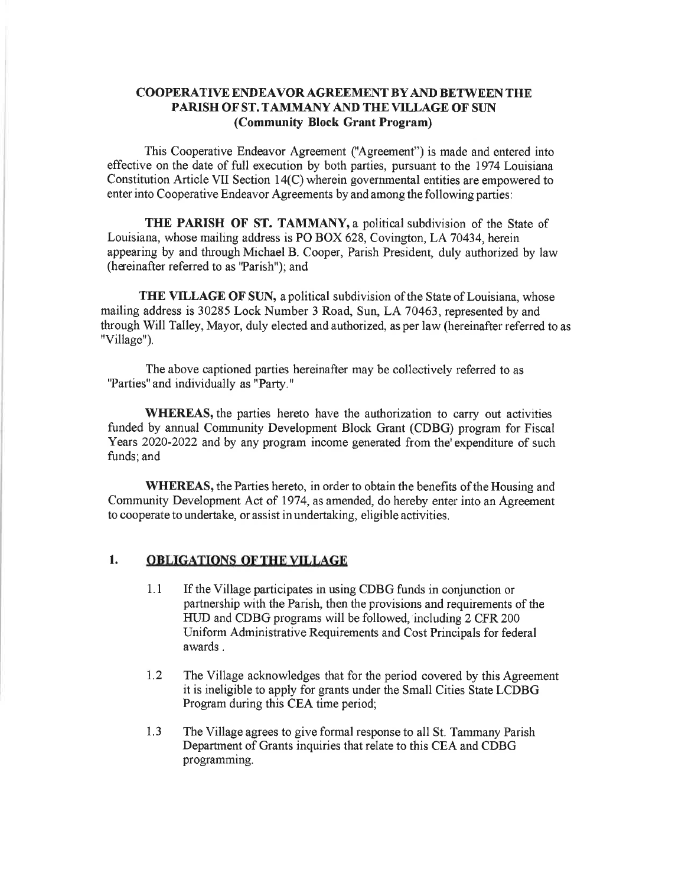## COOPERATIVE ENDEAVOR AGREEMENT BY AND BETWEEN THE PARISH OF ST. TAMMANY AND THE VILLAGE OF SUN (Community Block Grant Program)

This Cooperative Endeavor Agreement ("Agreement") is made and entered into effective on the date of full execution by both parties, pursuant to the 1974 Louisiana Constitution Artiole VII Section 14(C) wherein governmental entities are empowered to enter into Cooperative Endeavor Agreements by and among the following parties:

THE PARISH OF ST. TAMMANY, a political subdivision of the State of Louisiana, whose mailing address is PO BOX 628, Covington, LA 70434, herein appearing by and through Michael B. Cooper, Parish President, duly authorized by law (heeinafter refered to as 'Parish"); and

THE VILLAGE OF SUN, a political subdivision of the State of Louisiana, whose mailing address is 30285 Lock Number 3 Road, Sun, LA70463, represented by and through Will Talley, Mayor, duly elected and authorized, as per law (hereinafter referred to as "Village").

The above captioned parties hereinafter may be collectively referred to as "Parties" and individually as "Party."

WHEREAS, the parties hereto have the authorization to carry out activities funded by annual Community Development Block Grant (CDBG) program for Fiscal Years 2020-2022 and by any program income generated from the expenditure of such funds; and

WHEREAS, the Parties hereto, in order to obtain the benefits of the Housing and Community Development Act of 1974, as amended, do hereby enter into an Agreement to cooperate to undertake, or assist in undertaking, eligible activities.

## 1. OBLIGATIONS OF THE VILLAGE

- 1.1 If the Village participates in using CDBG funds in conjunction or partnership with the Parish, then the provisions and requirements of the HUD and CDBG programs will be followed, including 2 CFR 200 Uniform Administrative Requirements and Cost Principals for federal awards .
- 1.2 The Village acknowledges that for the period covered by this Agreement it is ineligible to apply for grants under the Small Cities State LCDBG Program during this CEA time period;
- The Village agrees to give formal response to all St. Tammany Parish Department of Grants inquiries that relate to this CEA and CDBG programming. 1.3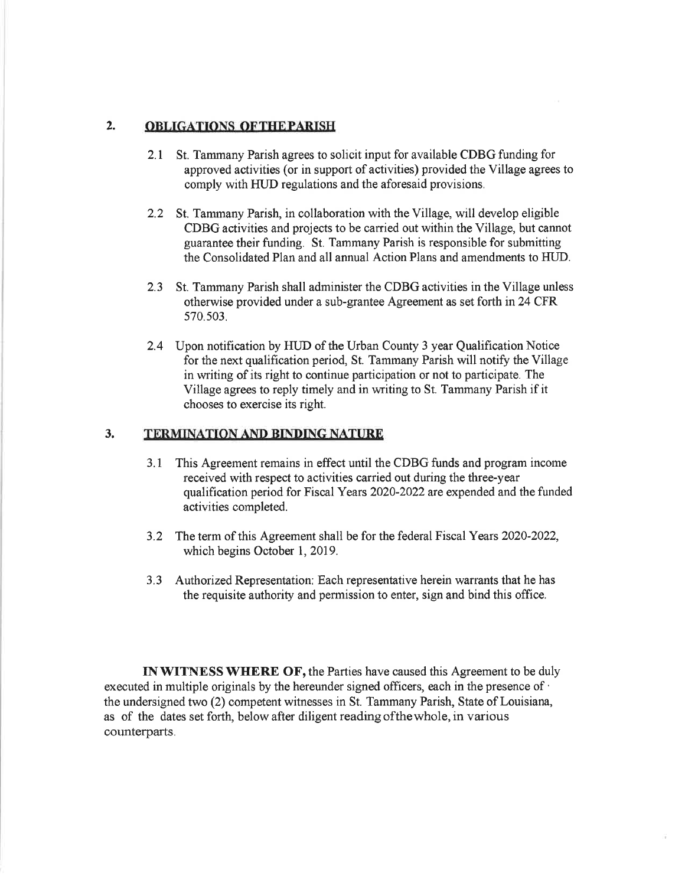## 2. OBLIGATIONS OF THE PARISH

- 2.1 St. Tammany Parish agrees to solicit input for available CDBG funding for approved activities (or in support of activities) provided the Village agrees to comply with HUD regulations and the aforesaid provisions.
- 2.2 St. Tammany Parish, in collaboration with the Village, will develop eligible CDBG aotivities and projects to be carried out within the Village, but cannot guarantee their funding. St. Tammany Parish is responsible for submitting the Consolidated Plan and all annual Action Plans and amendments to HIID.
- 2.3 St. Tammany Parish shall administer the CDBG activities in the Village unless otherwise provided under a sub-grantee Agreement as set forth in 24 CFR 570.503,
- 2.4 Upon notification by HLID of the Urban County 3 year Qualification Notice for the next qualification period, St. Tammany Parish will notify the Village in writing of its right to continue participation or not to participate. The Village agrees to reply timely and in writing to St. Tammany Parish if it chooses to exercise its right.

## 3. TERMINATION AND BINDING NATURE

- 3.1 This Agreement remains in effect until the CDBG funds and program income received with respect to activities carried out during the three-year qualification period for Fiscal Years 2020-2022 are expended and the funded activities completed.
- 3.2 The term of this Agreement shall be for the federal Fiscal Years 2020-2022, which begins October 1, 2019.
- 3.3 Authorized Representation: Each representative herein warrants that he has the requisite authority and permission to enter, sign and bind this office.

IN WITNESS WHERE OF, the Parties have caused this Agreement to be duly executed in multiple originals by the hereunder signed officers, each in the presence of ' the undersigned two (2) oompetent witnesses in St. Tammany Parish, State of Louisiana, as of the dates set forth, below after diligent reading ofthewhole, in various counterparts.